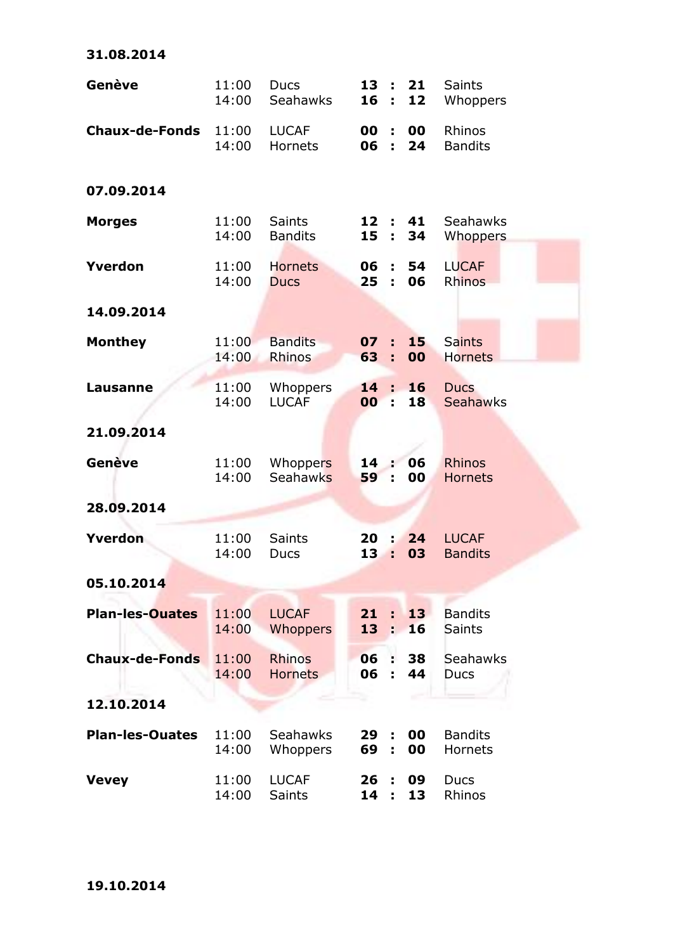| Genève                 | 11:00<br>14:00 | <b>Ducs</b><br><b>Seahawks</b>  | 13:<br>16             | ÷.                    | 21<br>12 | <b>Saints</b><br>Whoppers       |
|------------------------|----------------|---------------------------------|-----------------------|-----------------------|----------|---------------------------------|
| <b>Chaux-de-Fonds</b>  | 11:00<br>14:00 | <b>LUCAF</b><br><b>Hornets</b>  | 00<br>06              | ÷<br>÷                | 00<br>24 | Rhinos<br><b>Bandits</b>        |
| 07.09.2014             |                |                                 |                       |                       |          |                                 |
| <b>Morges</b>          | 11:00<br>14:00 | <b>Saints</b><br><b>Bandits</b> | 12 :<br>15            | $\mathbf{L}^{\prime}$ | 41<br>34 | Seahawks<br>Whoppers            |
| Yverdon                | 11:00<br>14:00 | <b>Hornets</b><br><b>Ducs</b>   | 06<br>25              | ÷<br>÷                | 54<br>06 | <b>LUCAF</b><br><b>Rhinos</b>   |
| 14.09.2014             |                |                                 |                       |                       |          |                                 |
| <b>Monthey</b>         | 11:00<br>14:00 | <b>Bandits</b><br><b>Rhinos</b> | 07:<br>63             | ÷                     | 15<br>00 | <b>Saints</b><br><b>Hornets</b> |
| <b>Lausanne</b>        | 11:00<br>14:00 | Whoppers<br><b>LUCAF</b>        | 14<br>00              | ÷.<br>÷               | 16<br>18 | <b>Ducs</b><br><b>Seahawks</b>  |
| 21.09.2014             |                |                                 |                       |                       |          |                                 |
| Genève                 | 11:00<br>14:00 | Whoppers<br><b>Seahawks</b>     | 14<br>59              | ÷.                    | 06<br>00 | <b>Rhinos</b><br><b>Hornets</b> |
| 28.09.2014             |                |                                 |                       |                       |          |                                 |
| Yverdon                | 11:00<br>14:00 | <b>Saints</b><br>Ducs           | 20<br>13              | ÷                     | 24<br>03 | <b>LUCAF</b><br><b>Bandits</b>  |
| 05.10.2014             |                |                                 |                       |                       |          |                                 |
| <b>Plan-les-Ouates</b> | 11:00<br>14:00 | <b>LUCAF</b><br>Whoppers        | 21<br>13 <sup>7</sup> | ÷.<br>ŕ.              | 13<br>16 | <b>Bandits</b><br><b>Saints</b> |
| <b>Chaux-de-Fonds</b>  | 11:00<br>14:00 | <b>Rhinos</b><br><b>Hornets</b> | 06 :<br>06            | ÷                     | 38<br>44 | Seahawks<br><b>Ducs</b>         |
| 12.10.2014             |                |                                 |                       |                       |          |                                 |
| <b>Plan-les-Ouates</b> | 11:00<br>14:00 | Seahawks<br>Whoppers            | 29<br>69              | ÷<br>÷                | 00<br>00 | <b>Bandits</b><br>Hornets       |
| <b>Vevey</b>           | 11:00<br>14:00 | <b>LUCAF</b><br><b>Saints</b>   | 26<br>14              | ÷                     | 09<br>13 | Ducs<br>Rhinos                  |

**31.08.2014**